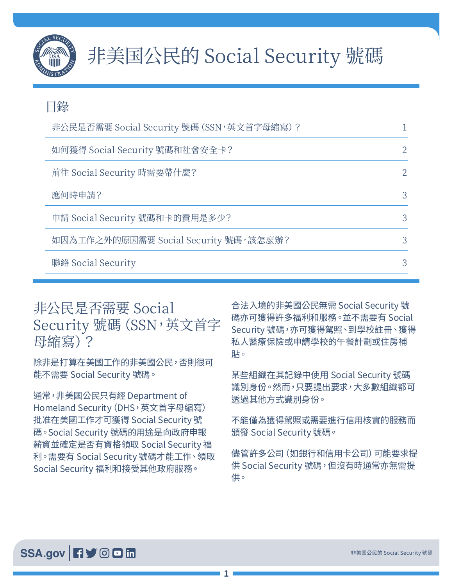

#### 目錄

| 非公民是否需要 Social Security 號碼 (SSN, 英文首字母縮寫) ? |  |
|---------------------------------------------|--|
| 如何獲得 Social Security 號碼和社會安全卡?              |  |
| 前往 Social Security 時需要帶什麼?                  |  |
| 應何時申請?                                      |  |
| 申請 Social Security 號碼和卡的費用是多少?              |  |
| 如因為工作之外的原因需要 Social Security 號碼,該怎麼辦?       |  |
| 聯絡 Social Security                          |  |

## 非公民是否需要 Social Security 號碼 (SSN, 英文首字 母縮寫)?

除非是打算在美國工作的非美國公民,否則很可 能不需要 Social Security 號碼。

通常,非美國公民只有經 Department of Homeland Security (DHS, 英文首字母縮寫) 批准在美國工作才可獲得 Social Security 號 碼。Social Security 號碼的用途是向政府申報 薪資並確定是否有資格領取 Social Security 福 利。需要有 Social Security 號碼才能工作、領取 Social Security 福利和接受其他政府服務。

合法入境的非美國公民無需 Social Security 號 碼亦可獲得許多福利和服務。並不需要有 Social Security 號碼,亦可獲得駕照、到學校註冊、獲得 私人醫療保險或申請學校的午餐計劃或住房補 貼。

某些組織在其記錄中使用 Social Security 號碼 識別身份。然而,只要提出要求,大多數組織都可 透過其他方式識別身份。

不能僅為獲得駕照或需要進行信用核實的服務而 頒發 Social Security 號碼。

儘管許多公司(如銀行和信用卡公司)可能要求提 供 Social Security 號碼,但沒有時通常亦無需提 供。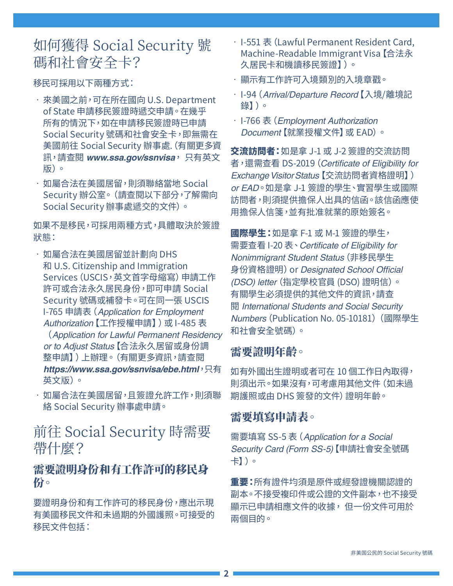# <span id="page-1-0"></span>如何獲得 Social Security 號 碼和社會安全卡?

移民可採用以下兩種方式:

- 來美國之前,可在所在國向 U.S. Department of State 申請移民簽證時遞交申請。在幾乎 所有的情況下,如在申請移民簽證時已申請 Social Security 號碼和社會安全卡,即無需在 美國前往 Social Security 辦事處.(有關更多資 訊,請查閱 *[www.ssa.gov/ssnvisa](https://www.ssa.gov/ssnvisa)*, 只有英文 版)。
- 如屬合法在美國居留,則須聯絡當地 Social Security 辦公室。(請查閱以下部分,了解需向 Social Security 辦事處遞交的文件)。

如果不是移民,可採用兩種方式,具體取決於簽證 狀態:

- 如屬合法在美國居留並計劃向 DHS 和 U.S. Citizenship and Immigration Services(USCIS,英文首字母縮寫)申請工作 許可或合法永久居民身份,即可申請 Social Security 號碼或補發卡。可在同一張 USCIS I-765 申請表(*Application for Employment Authorization*【工作授權申請】)或 I-485 表 (*Application for Lawful Permanent Residency or to Adjust Status*【合法永久居留或身份調 整申請】)上辦理。(有關更多資訊,請查閱 *<https://www.ssa.gov/ssnvisa/ebe.html>*,只有 英文版)。
- 如屬合法在美國居留,且簽證允許工作,則須聯 絡 Social Security 辦事處申請。

前往 Social Security 時需要 帶什麼?

#### 需要證明身份和有工作許可的移民身 份。

要證明身份和有工作許可的移民身份,應出示現 有美國移民文件和未過期的外國護照。可接受的 移民文件包括:

- I-551 表(Lawful Permanent Resident Card, Machine-Readable Immigrant Visa【合法永 久居民卡和機讀移民簽證】)。
- 顯示有工作許可入境類別的入境章戳。
- I-94(*Arrival/Departure Record*【入境/離境記 錄】)。
- I-766 表(*Employment Authorization Document*【就業授權文件】或 EAD)。

交流訪問者:如是拿 J-1 或 J-2 簽證的交流訪問 者,還需查看 DS-2019(Certificate of Eligibility for Exchange Visitor Status【交流訪問者資格證明】) *or EAD*。如是拿 J-1 簽證的學生、實習學生或國際 訪問者,則須提供擔保人出具的信函。該信函應使 用擔保人信箋,並有批准就業的原始簽名。

國際學生:如是拿 F-1 或 M-1 簽證的學生, 需要查看 I-20 表、Certificate of Eligibility for Nonimmigrant Student Status(非移民學生 身份資格證明)or Designated School Official (DSO) letter(指定學校官員 (DSO) 證明信)。 有關學生必須提供的其他文件的資訊,請查 閱 *[International Students and Social Security](https://www.ssa.gov/pubs/EN-05-10181.pdf)*  Numbers[\(Publication No. 05-10181\)](https://www.ssa.gov/pubs/EN-05-10181.pdf)(國際學生 和社會安全號碼)。

#### 需要證明年齡。

如有外國出生證明或者可在 10 個工作日內取得, 則須出示。如果沒有,可考慮用其他文件(如未過 期護照或由 DHS 簽發的文件) 證明年齡。

#### 需要填寫申請表。

需要填寫 SS-5 表(*[Application for a Social](https://www.ssa.gov/forms/ss-5.pdf)  [Security Card](https://www.ssa.gov/forms/ss-5.pdf)* (Form SS-5)【申請社會安全號碼 卡】)。

重要:所有證件均須是原件或經發證機關認證的 副本。不接受複印件或公證的文件副本,也不接受 顯示已申請相應文件的收據, 但一份文件可用於 兩個目的。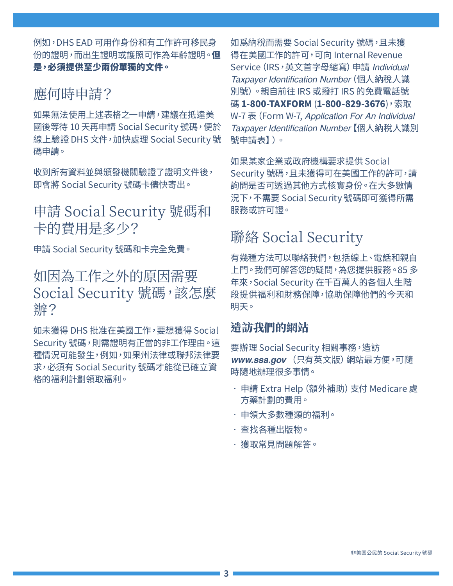<span id="page-2-0"></span>例如,DHS EAD 可用作身份和有工作許可移民身 份的證明,而出生證明或護照可作為年齡證明。但 是,必須提供至少兩份單獨的文件。

### 應何時申請?

如果無法使用上述表格之一申請,建議在抵達美 國後等待 10 天再申請 Social Security 號碼,便於 線上驗證 DHS 文件,加快處理 Social Security 號 碼申請。

收到所有資料並與頒發機關驗證了證明文件後, 即會將 Social Security 號碼卡儘快寄出。

## 申請 Social Security 號碼和 卡的費用是多少?

申請 Social Security 號碼和卡完全免費。

### 如因為工作之外的原因需要 Social Security 號碼,該怎麼 辦?

如未獲得 DHS 批准在美國工作,要想獲得 Social Security 號碼,則需證明有正當的非工作理由。這 種情況可能發生,例如,如果州法律或聯邦法律要 求,必須有 Social Security 號碼才能從已確立資 格的福利計劃領取福利。

如爲納稅而需要 Social Security 號碼,且未獲 得在美國工作的許可,可向 Internal Revenue Service(IRS,英文首字母縮寫)申請 *Individual*  Taxpayer Identification Number(個人納稅人識 別號)。親自前往 IRS 或撥打 IRS 的免費電話號 碼 1-800-TAXFORM (1-800-829-3676), 索取 W-7 表(Form W-7, *Application For An Individual*  Taxpayer Identification Number【個人納稅人識別 號申請表】)。

如果某家企業或政府機構要求提供 Social Security 號碼,且未獲得可在美國工作的許可,請 詢問是否可透過其他方式核實身份。在大多數情 況下,不需要 Social Security 號碼即可獲得所需 服務或許可證。

# 聯絡 Social Security

有幾種方法可以聯絡我們,包括線上、電話和親自 上門。我們可解答您的疑問,為您提供服務。85 多 年來,Social Security 在千百萬人的各個人生階 段提供福利和財務保障,協助保障他們的今天和 明天。

#### 造訪我們的網站

要辦理 Social Security 相關事務,造訪 *[www.ssa.gov](https://www.ssa.gov/)* (只有英文版)網站最方便,可隨 時隨地辦理很多事情。

- 申請 [Extra Help\(額外補助\)支付 Medicare 處](https://www.ssa.gov/i1020/) [方藥計劃的費用。](https://www.ssa.gov/i1020/)
- 申領大多數種類的[福利。](https://www.socialsecurity.gov/applyforbenefits)
- 查找各[種出版物](https://www.ssa.gov/pubs/)。
- 獲[取常見問題解答](https://faq.ssa.gov/)。